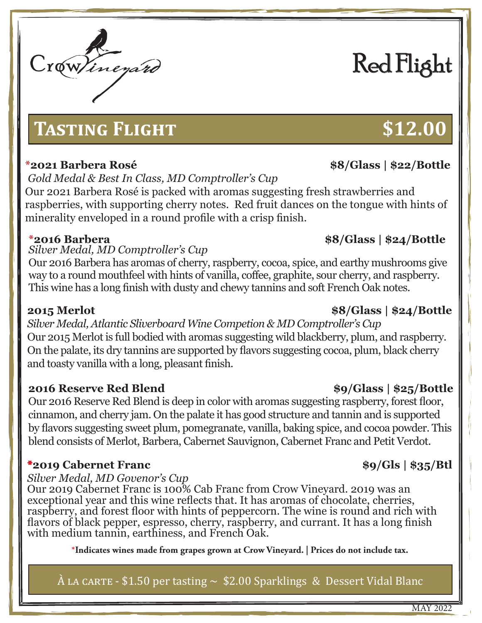# Crowlinezard

# **Tasting Flight \$12.00**

# *Gold Medal & Best In Class, MD Comptroller's Cup*

Our 2021 Barbera Rosé is packed with aromas suggesting fresh strawberries and raspberries, with supporting cherry notes. Red fruit dances on the tongue with hints of minerality enveloped in a round profile with a crisp finish.

# **\*2016 Barbera \$8/Glass | \$24/Bottle** *Silver Medal, MD Comptroller's Cup*

Our 2016 Barbera has aromas of cherry, raspberry, cocoa, spice, and earthy mushrooms give way to a round mouthfeel with hints of vanilla, coffee, graphite, sour cherry, and raspberry. This wine has a long finish with dusty and chewy tannins and soft French Oak notes.

*Silver Medal, Atlantic Sliverboard Wine Competion & MD Comptroller's Cup* Our 2015 Merlot is full bodied with aromas suggesting wild blackberry, plum, and raspberry. On the palate, its dry tannins are supported by flavors suggesting cocoa, plum, black cherry and toasty vanilla with a long, pleasant finish.

# **2016 Reserve Red Blend \$9/Glass | \$25/Bottle**

Our 2016 Reserve Red Blend is deep in color with aromas suggesting raspberry, forest floor, cinnamon, and cherry jam. On the palate it has good structure and tannin and is supported by flavors suggesting sweet plum, pomegranate, vanilla, baking spice, and cocoa powder. This blend consists of Merlot, Barbera, Cabernet Sauvignon, Cabernet Franc and Petit Verdot.

# **\*2019 Cabernet Franc \$9/Gls | \$35/Btl**

# *Silver Medal, MD Govenor's Cup*

Our 2019 Cabernet Franc is 100% Cab Franc from Crow Vineyard. 2019 was an exceptional year and this wine reflects that. It has aromas of chocolate, cherries, raspberry, and forest floor with hints of peppercorn. The wine is round and rich with flavors of black pepper, espresso, cherry, raspberry, and currant. It has a long finish with medium tannin, earthiness, and French Oak.

**\*Indicates wines made from grapes grown at Crow Vineyard. | Prices do not include tax.**

 $\hat{A}$  LA CARTE - \$1.50 per tasting  $\sim$  \$2.00 Sparklings & Dessert Vidal Blanc

# **2015 Merlot \$8/Glass | \$24/Bottle**

### MAY 2022

# Red Flight

# **\*2021 Barbera Rosé \$8/Glass | \$22/Bottle**